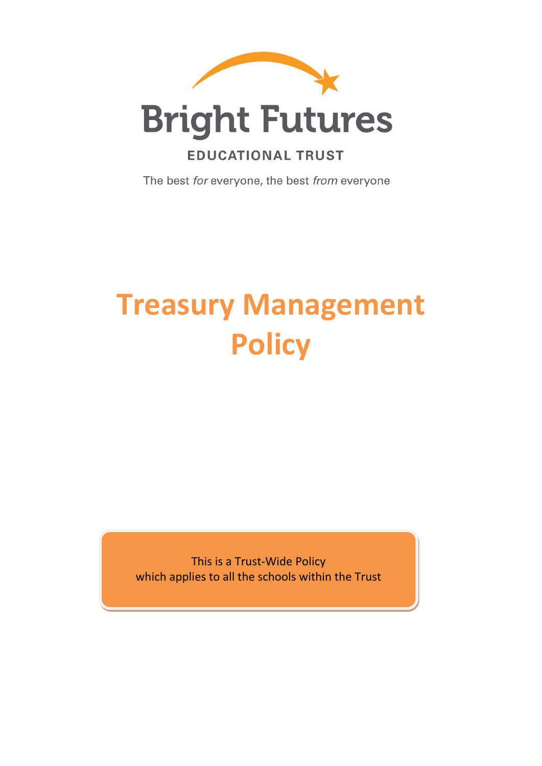

# **Bright Futures**

## **EDUCATIONAL TRUST**

The best for everyone, the best from everyone

# **Treasury Management Policy**

This is a Trust-Wide Policy which applies to all the schools within the Trust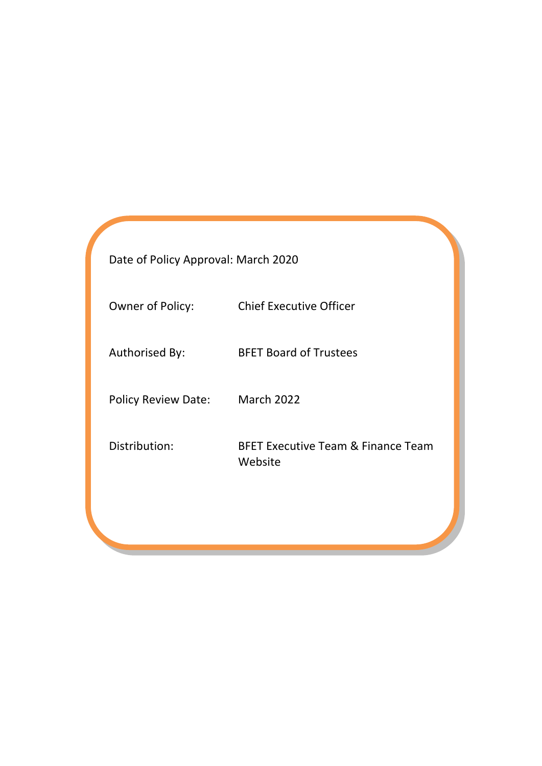Date of Policy Approval: March 2020

Owner of Policy: Chief Executive Officer

Authorised By: BFET Board of Trustees

Policy Review Date: March 2022

Distribution: BFET Executive Team & Finance Team Website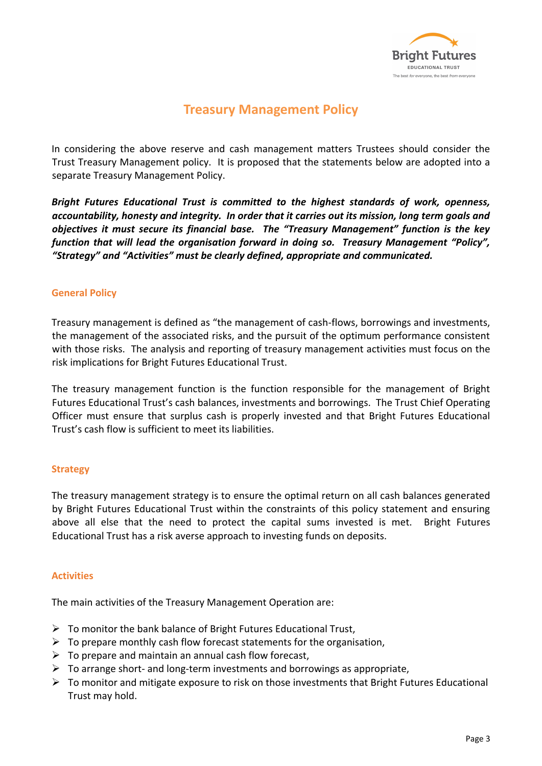

### **Treasury Management Policy**

In considering the above reserve and cash management matters Trustees should consider the Trust Treasury Management policy. It is proposed that the statements below are adopted into a separate Treasury Management Policy.

*Bright Futures Educational Trust is committed to the highest standards of work, openness, accountability, honesty and integrity. In order that it carries out its mission, long term goals and objectives it must secure its financial base. The "Treasury Management" function is the key function that will lead the organisation forward in doing so. Treasury Management "Policy", "Strategy" and "Activities" must be clearly defined, appropriate and communicated.* 

#### **General Policy**

Treasury management is defined as "the management of cash-flows, borrowings and investments, the management of the associated risks, and the pursuit of the optimum performance consistent with those risks. The analysis and reporting of treasury management activities must focus on the risk implications for Bright Futures Educational Trust.

The treasury management function is the function responsible for the management of Bright Futures Educational Trust's cash balances, investments and borrowings. The Trust Chief Operating Officer must ensure that surplus cash is properly invested and that Bright Futures Educational Trust's cash flow is sufficient to meet its liabilities.

#### **Strategy**

The treasury management strategy is to ensure the optimal return on all cash balances generated by Bright Futures Educational Trust within the constraints of this policy statement and ensuring above all else that the need to protect the capital sums invested is met. Bright Futures Educational Trust has a risk averse approach to investing funds on deposits.

#### **Activities**

The main activities of the Treasury Management Operation are:

- $\triangleright$  To monitor the bank balance of Bright Futures Educational Trust,
- $\triangleright$  To prepare monthly cash flow forecast statements for the organisation,
- $\triangleright$  To prepare and maintain an annual cash flow forecast,
- $\triangleright$  To arrange short- and long-term investments and borrowings as appropriate,
- ➢ To monitor and mitigate exposure to risk on those investments that Bright Futures Educational Trust may hold.